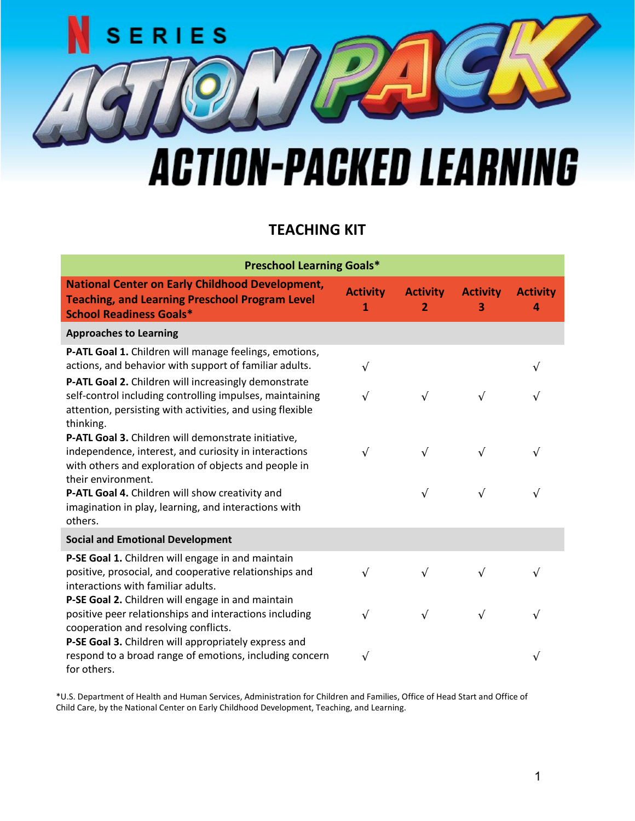## ERIES S **ACTION-PACKED LEARNING**

## **TEACHING KIT**

| <b>Preschool Learning Goals*</b>                                                                                                                                                           |                      |                                   |                      |                      |  |
|--------------------------------------------------------------------------------------------------------------------------------------------------------------------------------------------|----------------------|-----------------------------------|----------------------|----------------------|--|
| <b>National Center on Early Childhood Development,</b><br><b>Teaching, and Learning Preschool Program Level</b><br><b>School Readiness Goals*</b>                                          | <b>Activity</b><br>1 | <b>Activity</b><br>$\overline{2}$ | <b>Activity</b><br>3 | <b>Activity</b><br>4 |  |
| <b>Approaches to Learning</b>                                                                                                                                                              |                      |                                   |                      |                      |  |
| P-ATL Goal 1. Children will manage feelings, emotions,<br>actions, and behavior with support of familiar adults.                                                                           | $\sqrt{ }$           |                                   |                      |                      |  |
| P-ATL Goal 2. Children will increasingly demonstrate<br>self-control including controlling impulses, maintaining<br>attention, persisting with activities, and using flexible<br>thinking. | V                    | $\sqrt{ }$                        | $\sqrt{}$            |                      |  |
| P-ATL Goal 3. Children will demonstrate initiative,<br>independence, interest, and curiosity in interactions<br>with others and exploration of objects and people in<br>their environment. | $\sqrt{ }$           | $\sqrt{ }$                        | $\sqrt{ }$           | $\sqrt{}$            |  |
| P-ATL Goal 4. Children will show creativity and<br>imagination in play, learning, and interactions with<br>others.                                                                         |                      | $\sqrt{ }$                        | $\sqrt{}$            | $\sqrt{}$            |  |
| <b>Social and Emotional Development</b>                                                                                                                                                    |                      |                                   |                      |                      |  |
| P-SE Goal 1. Children will engage in and maintain<br>positive, prosocial, and cooperative relationships and<br>interactions with familiar adults.                                          | $\sqrt{}$            | $\sqrt{ }$                        | $\sqrt{}$            | $\sqrt{}$            |  |
| P-SE Goal 2. Children will engage in and maintain<br>positive peer relationships and interactions including<br>cooperation and resolving conflicts.                                        | $\sqrt{}$            | $\sqrt{ }$                        | $\sqrt{ }$           | $\sqrt{ }$           |  |
| P-SE Goal 3. Children will appropriately express and<br>respond to a broad range of emotions, including concern<br>for others.                                                             | $\sqrt{}$            |                                   |                      | $\sqrt{}$            |  |

\*U.S. Department of Health and Human Services, Administration for Children and Families, Office of Head Start and Office of Child Care, by the National Center on Early Childhood Development, Teaching, and Learning.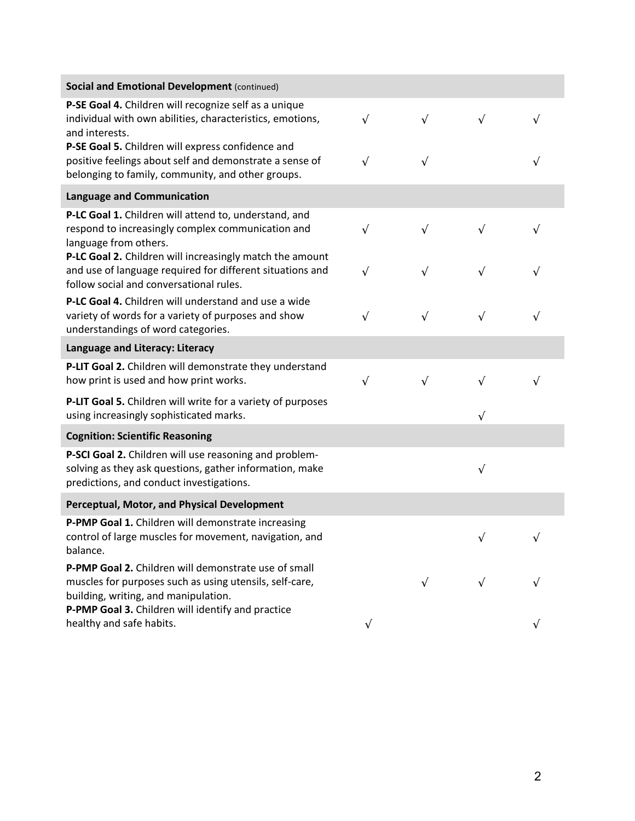| <b>Social and Emotional Development (continued)</b>                                                                                                               |            |            |            |            |
|-------------------------------------------------------------------------------------------------------------------------------------------------------------------|------------|------------|------------|------------|
| P-SE Goal 4. Children will recognize self as a unique<br>individual with own abilities, characteristics, emotions,<br>and interests.                              | $\sqrt{ }$ | $\sqrt{}$  | $\sqrt{ }$ | $\sqrt{ }$ |
| P-SE Goal 5. Children will express confidence and<br>positive feelings about self and demonstrate a sense of<br>belonging to family, community, and other groups. | $\sqrt{ }$ | $\sqrt{}$  |            | $\sqrt{ }$ |
| <b>Language and Communication</b>                                                                                                                                 |            |            |            |            |
| P-LC Goal 1. Children will attend to, understand, and<br>respond to increasingly complex communication and<br>language from others.                               | $\sqrt{ }$ | $\sqrt{ }$ | $\sqrt{ }$ | $\sqrt{ }$ |
| P-LC Goal 2. Children will increasingly match the amount<br>and use of language required for different situations and<br>follow social and conversational rules.  | $\sqrt{ }$ | $\sqrt{ }$ | $\sqrt{ }$ | $\sqrt{ }$ |
| P-LC Goal 4. Children will understand and use a wide<br>variety of words for a variety of purposes and show<br>understandings of word categories.                 | $\sqrt{ }$ | $\sqrt{ }$ | $\sqrt{ }$ | $\sqrt{ }$ |
| Language and Literacy: Literacy                                                                                                                                   |            |            |            |            |
| P-LIT Goal 2. Children will demonstrate they understand<br>how print is used and how print works.                                                                 | $\sqrt{ }$ | $\sqrt{}$  | $\sqrt{}$  | $\sqrt{ }$ |
| P-LIT Goal 5. Children will write for a variety of purposes<br>using increasingly sophisticated marks.                                                            |            |            | $\sqrt{}$  |            |
| <b>Cognition: Scientific Reasoning</b>                                                                                                                            |            |            |            |            |
| P-SCI Goal 2. Children will use reasoning and problem-<br>solving as they ask questions, gather information, make<br>predictions, and conduct investigations.     |            |            | $\sqrt{ }$ |            |
| Perceptual, Motor, and Physical Development                                                                                                                       |            |            |            |            |
| P-PMP Goal 1. Children will demonstrate increasing<br>control of large muscles for movement, navigation, and<br>balance.                                          |            |            | $\sqrt{ }$ | $\sqrt{ }$ |
| P-PMP Goal 2. Children will demonstrate use of small<br>muscles for purposes such as using utensils, self-care,<br>building, writing, and manipulation.           |            | $\sqrt{ }$ | $\sqrt{}$  | $\sqrt{ }$ |
| P-PMP Goal 3. Children will identify and practice<br>healthy and safe habits.                                                                                     | $\sqrt{ }$ |            |            |            |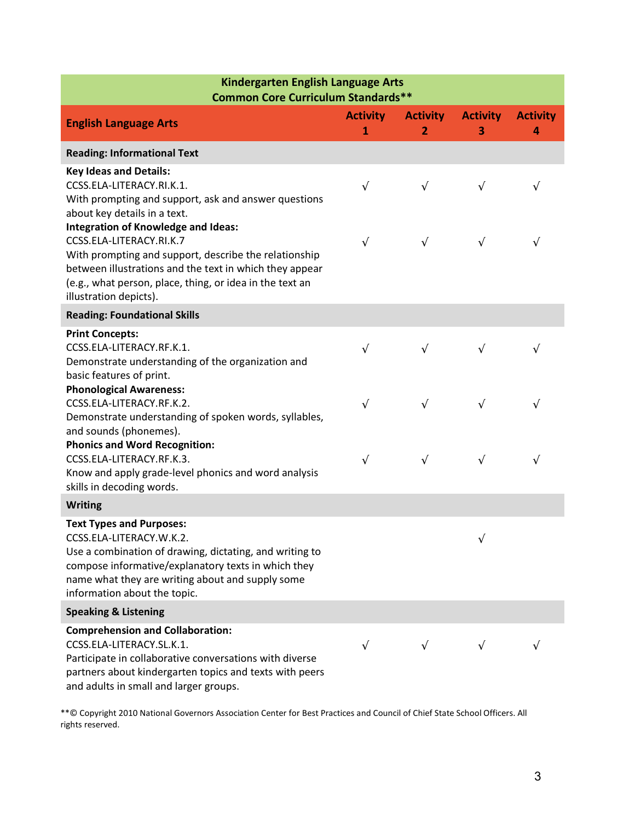| Kindergarten English Language Arts<br><b>Common Core Curriculum Standards**</b>                                                                                                                                                                                                  |                                 |                                   |                      |                      |  |
|----------------------------------------------------------------------------------------------------------------------------------------------------------------------------------------------------------------------------------------------------------------------------------|---------------------------------|-----------------------------------|----------------------|----------------------|--|
| <b>English Language Arts</b>                                                                                                                                                                                                                                                     | <b>Activity</b><br>$\mathbf{1}$ | <b>Activity</b><br>$\overline{2}$ | <b>Activity</b><br>3 | <b>Activity</b><br>4 |  |
| <b>Reading: Informational Text</b>                                                                                                                                                                                                                                               |                                 |                                   |                      |                      |  |
| <b>Key Ideas and Details:</b><br>CCSS.ELA-LITERACY.RI.K.1.<br>With prompting and support, ask and answer questions<br>about key details in a text.                                                                                                                               | $\sqrt{ }$                      | $\sqrt{ }$                        | $\sqrt{ }$           | $\sqrt{}$            |  |
| <b>Integration of Knowledge and Ideas:</b><br>CCSS.ELA-LITERACY.RI.K.7<br>With prompting and support, describe the relationship<br>between illustrations and the text in which they appear<br>(e.g., what person, place, thing, or idea in the text an<br>illustration depicts). | $\sqrt{ }$                      | $\sqrt{ }$                        | $\sqrt{ }$           | $\sqrt{ }$           |  |
| <b>Reading: Foundational Skills</b>                                                                                                                                                                                                                                              |                                 |                                   |                      |                      |  |
| <b>Print Concepts:</b><br>CCSS.ELA-LITERACY.RF.K.1.<br>Demonstrate understanding of the organization and<br>basic features of print.                                                                                                                                             | $\sqrt{ }$                      | $\sqrt{ }$                        | $\sqrt{ }$           | $\sqrt{ }$           |  |
| <b>Phonological Awareness:</b><br>CCSS.ELA-LITERACY.RF.K.2.<br>Demonstrate understanding of spoken words, syllables,<br>and sounds (phonemes).                                                                                                                                   | $\sqrt{}$                       | $\sqrt{ }$                        | $\sqrt{ }$           | $\sqrt{ }$           |  |
| <b>Phonics and Word Recognition:</b><br>CCSS.ELA-LITERACY.RF.K.3.<br>Know and apply grade-level phonics and word analysis<br>skills in decoding words.                                                                                                                           | $\sqrt{ }$                      | $\sqrt{ }$                        | $\sqrt{ }$           | $\sqrt{ }$           |  |
| <b>Writing</b>                                                                                                                                                                                                                                                                   |                                 |                                   |                      |                      |  |
| <b>Text Types and Purposes:</b><br>CCSS.ELA-LITERACY.W.K.2.<br>Use a combination of drawing, dictating, and writing to<br>compose informative/explanatory texts in which they<br>name what they are writing about and supply some<br>information about the topic.                |                                 |                                   | $\sqrt{}$            |                      |  |
| <b>Speaking &amp; Listening</b>                                                                                                                                                                                                                                                  |                                 |                                   |                      |                      |  |
| <b>Comprehension and Collaboration:</b><br>CCSS.ELA-LITERACY.SL.K.1.<br>Participate in collaborative conversations with diverse<br>partners about kindergarten topics and texts with peers<br>and adults in small and larger groups.                                             | $\sqrt{ }$                      | $\sqrt{ }$                        | $\sqrt{ }$           |                      |  |

\*\*© Copyright 2010 National Governors Association Center for Best Practices and Council of Chief State School Officers. All rights reserved.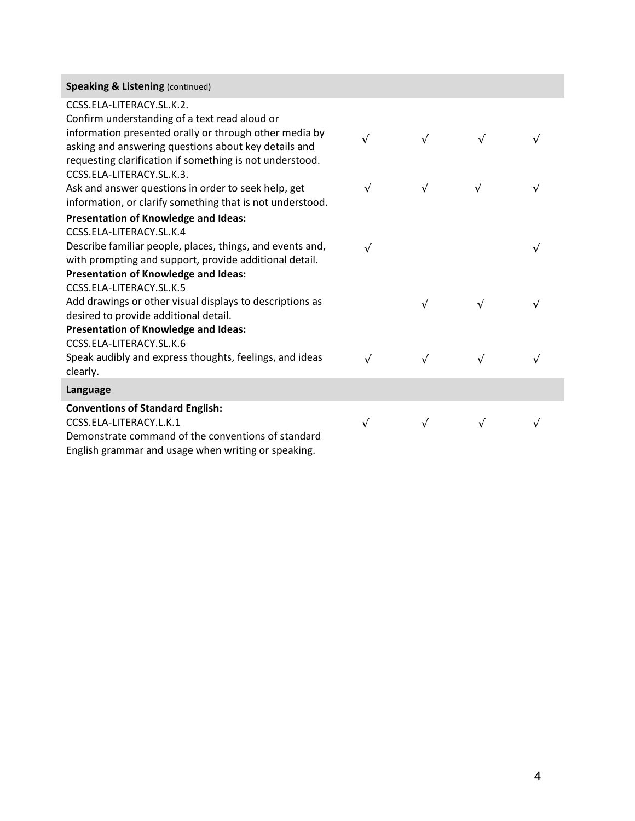| <b>Speaking &amp; Listening (continued)</b>                                                                      |            |            |            |            |
|------------------------------------------------------------------------------------------------------------------|------------|------------|------------|------------|
| CCSS.ELA-LITERACY.SL.K.2.                                                                                        |            |            |            |            |
| Confirm understanding of a text read aloud or<br>information presented orally or through other media by          |            |            |            |            |
| asking and answering questions about key details and<br>requesting clarification if something is not understood. | $\sqrt{ }$ | $\sqrt{ }$ | $\sqrt{}$  | $\sqrt{ }$ |
| CCSS.ELA-LITERACY.SL.K.3.                                                                                        |            |            |            |            |
| Ask and answer questions in order to seek help, get<br>information, or clarify something that is not understood. | $\sqrt{ }$ | $\sqrt{ }$ | $\sqrt{ }$ | $\sqrt{ }$ |
| Presentation of Knowledge and Ideas:                                                                             |            |            |            |            |
| CCSS.ELA-LITERACY.SL.K.4                                                                                         |            |            |            |            |
| Describe familiar people, places, things, and events and,                                                        | $\sqrt{ }$ |            |            | $\sqrt{ }$ |
| with prompting and support, provide additional detail.                                                           |            |            |            |            |
| <b>Presentation of Knowledge and Ideas:</b>                                                                      |            |            |            |            |
| CCSS.ELA-LITERACY.SL.K.5                                                                                         |            |            |            |            |
| Add drawings or other visual displays to descriptions as                                                         |            | $\sqrt{ }$ | $\sqrt{ }$ | $\sqrt{ }$ |
| desired to provide additional detail.                                                                            |            |            |            |            |
| Presentation of Knowledge and Ideas:                                                                             |            |            |            |            |
| CCSS.ELA-LITERACY.SL.K.6                                                                                         |            |            |            |            |
| Speak audibly and express thoughts, feelings, and ideas                                                          | $\sqrt{ }$ | $\sqrt{ }$ | $\sqrt{ }$ | $\sqrt{ }$ |
| clearly.                                                                                                         |            |            |            |            |
| Language                                                                                                         |            |            |            |            |
| <b>Conventions of Standard English:</b>                                                                          |            |            |            |            |
| CCSS.ELA-LITERACY.L.K.1                                                                                          | $\sqrt{ }$ |            | $\sqrt{}$  | $\sqrt{}$  |
| Demonstrate command of the conventions of standard                                                               |            |            |            |            |

English grammar and usage when writing or speaking.

I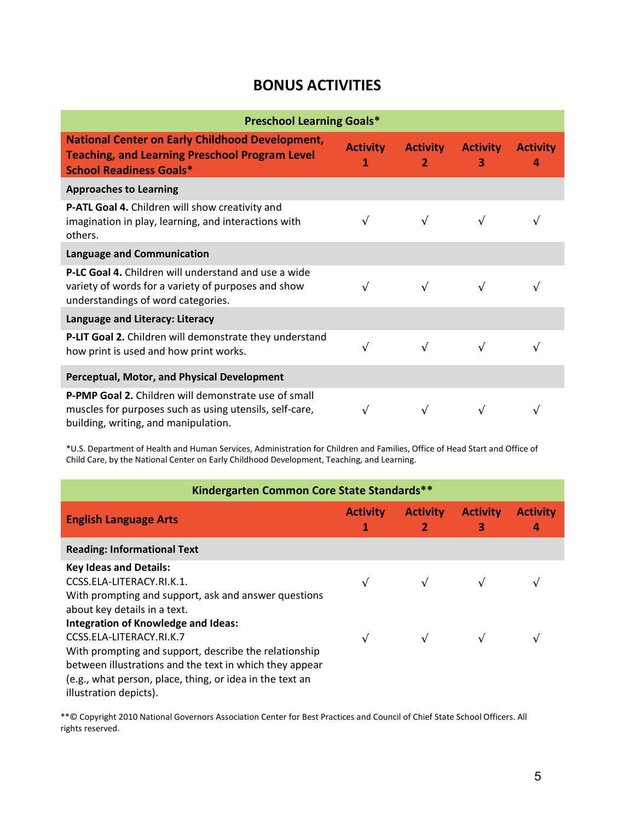## **BONUS ACTIVITIES**

| <b>Preschool Learning Goals*</b>                                                                                                                         |                      |                                   |                      |                      |  |
|----------------------------------------------------------------------------------------------------------------------------------------------------------|----------------------|-----------------------------------|----------------------|----------------------|--|
| <b>National Center on Early Childhood Development,</b><br><b>Teaching, and Learning Preschool Program Level</b><br><b>School Readiness Goals*</b>        | <b>Activity</b><br>1 | <b>Activity</b><br>$\overline{2}$ | <b>Activity</b><br>3 | <b>Activity</b><br>4 |  |
| <b>Approaches to Learning</b>                                                                                                                            |                      |                                   |                      |                      |  |
| P-ATL Goal 4. Children will show creativity and<br>imagination in play, learning, and interactions with<br>others.                                       |                      | $\sqrt{ }$                        |                      | V                    |  |
| Language and Communication                                                                                                                               |                      |                                   |                      |                      |  |
| <b>P-LC Goal 4.</b> Children will understand and use a wide<br>variety of words for a variety of purposes and show<br>understandings of word categories. |                      | $\sqrt{ }$                        |                      | $\sqrt{}$            |  |
| Language and Literacy: Literacy                                                                                                                          |                      |                                   |                      |                      |  |
| P-LIT Goal 2. Children will demonstrate they understand<br>how print is used and how print works.                                                        | $\sqrt{ }$           | $\sqrt{ }$                        | $\sqrt{ }$           | $\sqrt{}$            |  |
| <b>Perceptual, Motor, and Physical Development</b>                                                                                                       |                      |                                   |                      |                      |  |
| P-PMP Goal 2. Children will demonstrate use of small<br>muscles for purposes such as using utensils, self-care,<br>building, writing, and manipulation.  | $\sqrt{ }$           | $\sqrt{ }$                        |                      |                      |  |

\*U.S. Department of Health and Human Services, Administration for Children and Families, Office of Head Start and Office of Child Care, by the National Center on Early Childhood Development, Teaching, and Learning.

| Kindergarten Common Core State Standards**                                           |                      |                                   |                      |                      |  |
|--------------------------------------------------------------------------------------|----------------------|-----------------------------------|----------------------|----------------------|--|
| <b>English Language Arts</b>                                                         | <b>Activity</b><br>1 | <b>Activity</b><br>$\overline{2}$ | <b>Activity</b><br>3 | <b>Activity</b><br>4 |  |
| <b>Reading: Informational Text</b>                                                   |                      |                                   |                      |                      |  |
| <b>Key Ideas and Details:</b><br>CCSS.ELA-LITERACY.RI.K.1.                           |                      |                                   |                      |                      |  |
| With prompting and support, ask and answer questions<br>about key details in a text. |                      |                                   |                      |                      |  |
| <b>Integration of Knowledge and Ideas:</b>                                           |                      |                                   |                      |                      |  |
| CCSS.ELA-LITERACY.RI.K.7<br>With prompting and support, describe the relationship    | $\sqrt{ }$           | $\sqrt{ }$                        |                      |                      |  |
| between illustrations and the text in which they appear                              |                      |                                   |                      |                      |  |
| (e.g., what person, place, thing, or idea in the text an                             |                      |                                   |                      |                      |  |
| illustration depicts).                                                               |                      |                                   |                      |                      |  |

\*\*© Copyright 2010 National Governors Association Center for Best Practices and Council of Chief State School Officers. All rights reserved.